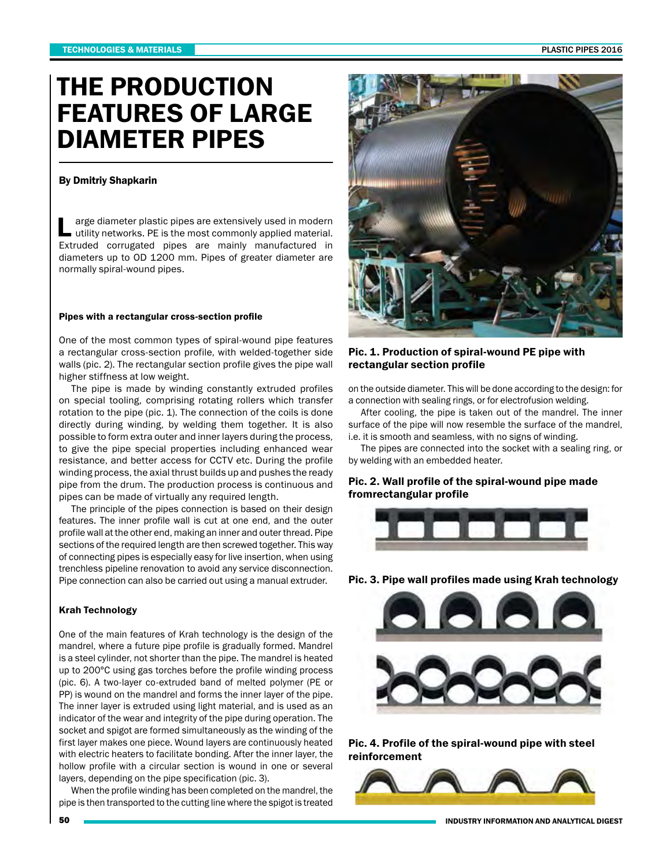# THE PRODUCTION FEATURES OF LARGE DIAMETER PIPES

#### By Dmitriy Shapkarin

L arge diameter plastic pipes are extensively used in modern utility networks. PE is the most commonly applied material. Extruded corrugated pipes are mainly manufactured in diameters up to OD 1200 mm. Pipes of greater diameter are normally spiral-wound pipes.

#### Pipes with a rectangular cross-section profile

One of the most common types of spiral-wound pipe features a rectangular cross-section profile, with welded-together side walls (pic. 2). The rectangular section profile gives the pipe wall higher stiffness at low weight.

The pipe is made by winding constantly extruded profiles on special tooling, comprising rotating rollers which transfer rotation to the pipe (pic. 1). The connection of the coils is done directly during winding, by welding them together. It is also possible to form extra outer and inner layers during the process, to give the pipe special properties including enhanced wear resistance, and better access for CCTV etc. During the profile winding process, the axial thrust builds up and pushes the ready pipe from the drum. The production process is continuous and pipes can be made of virtually any required length.

The principle of the pipes connection is based on their design features. The inner profile wall is cut at one end, and the outer profile wall at the other end, making an inner and outer thread. Pipe sections of the required length are then screwed together. This way of connecting pipes is especially easy for live insertion, when using trenchless pipeline renovation to avoid any service disconnection. Pipe connection can also be carried out using a manual extruder.

### Krah Technology

One of the main features of Krah technology is the design of the mandrel, where a future pipe profile is gradually formed. Mandrel is a steel cylinder, not shorter than the pipe. The mandrel is heated up to 200°С using gas torches before the profile winding process (pic. 6). A two-layer co-extruded band of melted polymer (PE or PP) is wound on the mandrel and forms the inner layer of the pipe. The inner layer is extruded using light material, and is used as an indicator of the wear and integrity of the pipe during operation. The socket and spigot are formed simultaneously as the winding of the first layer makes one piece. Wound layers are continuously heated with electric heaters to facilitate bonding. After the inner layer, the hollow profile with a circular section is wound in one or several layers, depending on the pipe specification (pic. 3).

When the profile winding has been completed on the mandrel, the pipe is then transported to the cutting line where the spigot is treated



## Pic. 1. Production of spiral-wound PE pipe with rectangular section profile

on the outside diameter. This will be done according to the design: for a connection with sealing rings, or for electrofusion welding.

After cooling, the pipe is taken out of the mandrel. The inner surface of the pipe will now resemble the surface of the mandrel, i.e. it is smooth and seamless, with no signs of winding.

The pipes are connected into the socket with a sealing ring, or by welding with an embedded heater.

## Pic. 2. Wall profile of the spiral-wound pipe made fromrectangular profile



Pic. 3. Pipe wall profiles made using Krah technology



Pic. 4. Profile of the spiral-wound pipe with steel reinforcement